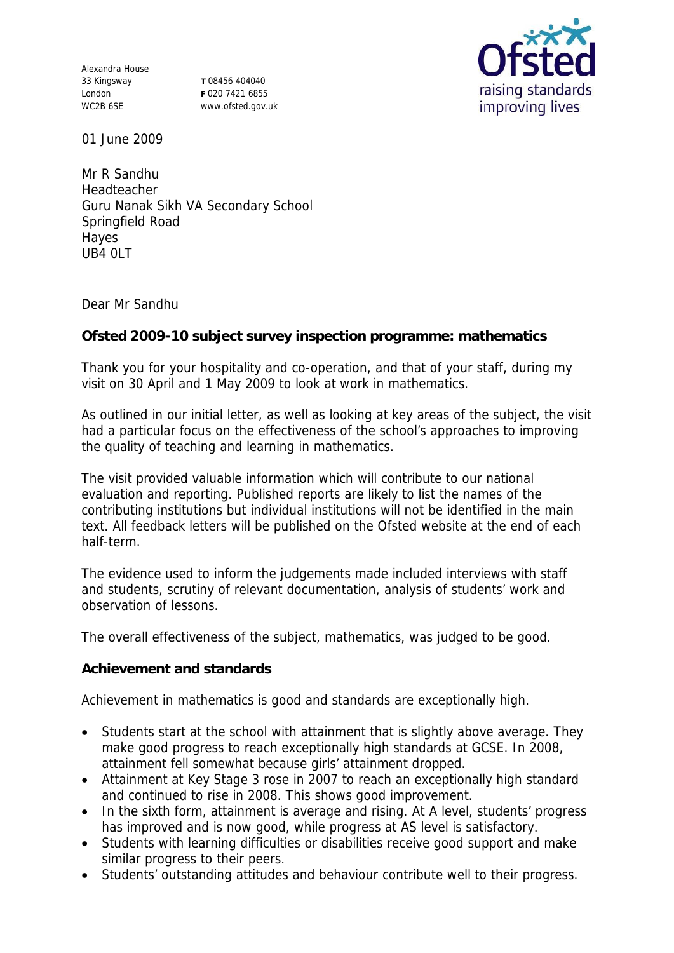Alexandra House 33 Kingsway London WC2B 6SE

**T** 08456 404040 **F** 020 7421 6855 www.ofsted.gov.uk



01 June 2009

Mr R Sandhu Headteacher Guru Nanak Sikh VA Secondary School Springfield Road Hayes UB4 0LT

Dear Mr Sandhu

**Ofsted 2009-10 subject survey inspection programme: mathematics**

Thank you for your hospitality and co-operation, and that of your staff, during my visit on 30 April and 1 May 2009 to look at work in mathematics.

As outlined in our initial letter, as well as looking at key areas of the subject, the visit had a particular focus on the effectiveness of the school's approaches to improving the quality of teaching and learning in mathematics.

The visit provided valuable information which will contribute to our national evaluation and reporting. Published reports are likely to list the names of the contributing institutions but individual institutions will not be identified in the main text. All feedback letters will be published on the Ofsted website at the end of each half-term.

The evidence used to inform the judgements made included interviews with staff and students, scrutiny of relevant documentation, analysis of students' work and observation of lessons.

The overall effectiveness of the subject, mathematics, was judged to be good.

**Achievement and standards**

Achievement in mathematics is good and standards are exceptionally high.

- Students start at the school with attainment that is slightly above average. They make good progress to reach exceptionally high standards at GCSE. In 2008, attainment fell somewhat because girls' attainment dropped.
- Attainment at Key Stage 3 rose in 2007 to reach an exceptionally high standard and continued to rise in 2008. This shows good improvement.
- In the sixth form, attainment is average and rising. At A level, students' progress has improved and is now good, while progress at AS level is satisfactory.
- Students with learning difficulties or disabilities receive good support and make similar progress to their peers.
- Students' outstanding attitudes and behaviour contribute well to their progress.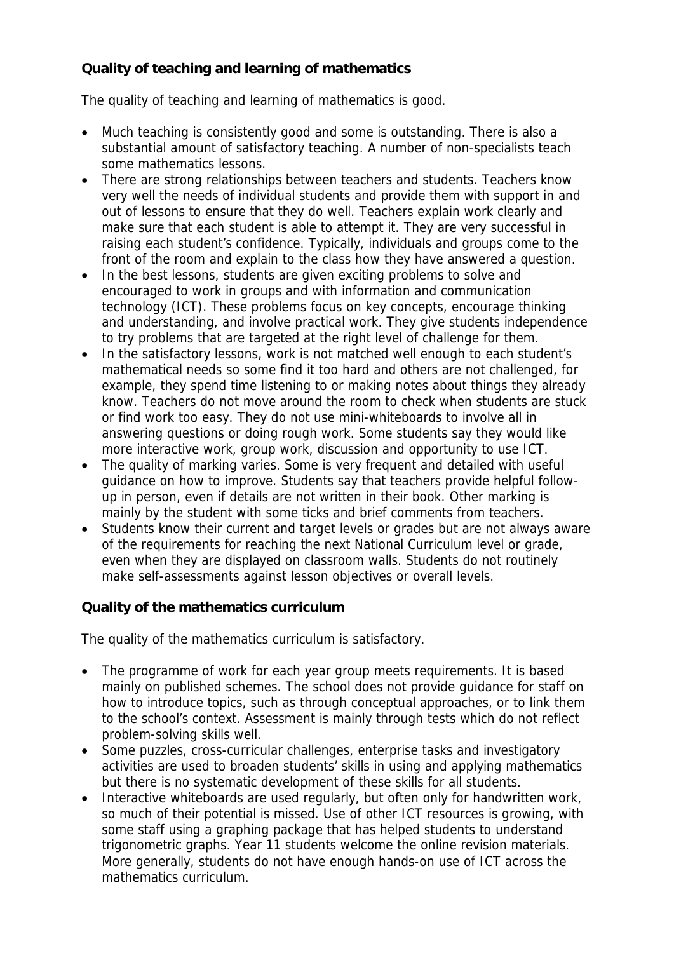## **Quality of teaching and learning of mathematics**

The quality of teaching and learning of mathematics is good.

- Much teaching is consistently good and some is outstanding. There is also a substantial amount of satisfactory teaching. A number of non-specialists teach some mathematics lessons.
- There are strong relationships between teachers and students. Teachers know very well the needs of individual students and provide them with support in and out of lessons to ensure that they do well. Teachers explain work clearly and make sure that each student is able to attempt it. They are very successful in raising each student's confidence. Typically, individuals and groups come to the front of the room and explain to the class how they have answered a question.
- In the best lessons, students are given exciting problems to solve and encouraged to work in groups and with information and communication technology (ICT). These problems focus on key concepts, encourage thinking and understanding, and involve practical work. They give students independence to try problems that are targeted at the right level of challenge for them.
- In the satisfactory lessons, work is not matched well enough to each student's mathematical needs so some find it too hard and others are not challenged, for example, they spend time listening to or making notes about things they already know. Teachers do not move around the room to check when students are stuck or find work too easy. They do not use mini-whiteboards to involve all in answering questions or doing rough work. Some students say they would like more interactive work, group work, discussion and opportunity to use ICT.
- The quality of marking varies. Some is very frequent and detailed with useful guidance on how to improve. Students say that teachers provide helpful followup in person, even if details are not written in their book. Other marking is mainly by the student with some ticks and brief comments from teachers.
- Students know their current and target levels or grades but are not always aware of the requirements for reaching the next National Curriculum level or grade, even when they are displayed on classroom walls. Students do not routinely make self-assessments against lesson objectives or overall levels.

## **Quality of the mathematics curriculum**

The quality of the mathematics curriculum is satisfactory.

- The programme of work for each year group meets requirements. It is based mainly on published schemes. The school does not provide guidance for staff on how to introduce topics, such as through conceptual approaches, or to link them to the school's context. Assessment is mainly through tests which do not reflect problem-solving skills well.
- Some puzzles, cross-curricular challenges, enterprise tasks and investigatory activities are used to broaden students' skills in using and applying mathematics but there is no systematic development of these skills for all students.
- Interactive whiteboards are used regularly, but often only for handwritten work, so much of their potential is missed. Use of other ICT resources is growing, with some staff using a graphing package that has helped students to understand trigonometric graphs. Year 11 students welcome the online revision materials. More generally, students do not have enough hands-on use of ICT across the mathematics curriculum.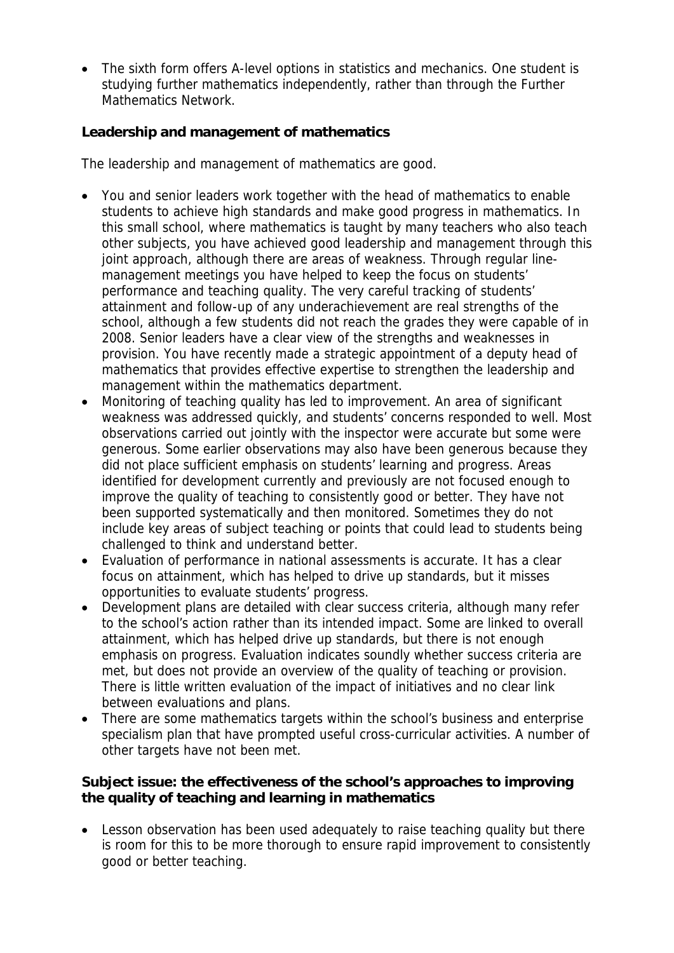The sixth form offers A-level options in statistics and mechanics. One student is studying further mathematics independently, rather than through the Further Mathematics Network.

**Leadership and management of mathematics**

The leadership and management of mathematics are good.

- You and senior leaders work together with the head of mathematics to enable students to achieve high standards and make good progress in mathematics. In this small school, where mathematics is taught by many teachers who also teach other subjects, you have achieved good leadership and management through this joint approach, although there are areas of weakness. Through regular linemanagement meetings you have helped to keep the focus on students' performance and teaching quality. The very careful tracking of students' attainment and follow-up of any underachievement are real strengths of the school, although a few students did not reach the grades they were capable of in 2008. Senior leaders have a clear view of the strengths and weaknesses in provision. You have recently made a strategic appointment of a deputy head of mathematics that provides effective expertise to strengthen the leadership and management within the mathematics department.
- Monitoring of teaching quality has led to improvement. An area of significant weakness was addressed quickly, and students' concerns responded to well. Most observations carried out jointly with the inspector were accurate but some were generous. Some earlier observations may also have been generous because they did not place sufficient emphasis on students' learning and progress. Areas identified for development currently and previously are not focused enough to improve the quality of teaching to consistently good or better. They have not been supported systematically and then monitored. Sometimes they do not include key areas of subject teaching or points that could lead to students being challenged to think and understand better.
- Evaluation of performance in national assessments is accurate. It has a clear focus on attainment, which has helped to drive up standards, but it misses opportunities to evaluate students' progress.
- Development plans are detailed with clear success criteria, although many refer to the school's action rather than its intended impact. Some are linked to overall attainment, which has helped drive up standards, but there is not enough emphasis on progress. Evaluation indicates soundly whether success criteria are met, but does not provide an overview of the quality of teaching or provision. There is little written evaluation of the impact of initiatives and no clear link between evaluations and plans.
- There are some mathematics targets within the school's business and enterprise specialism plan that have prompted useful cross-curricular activities. A number of other targets have not been met.

**Subject issue: the effectiveness of the school's approaches to improving the quality of teaching and learning in mathematics**

 Lesson observation has been used adequately to raise teaching quality but there is room for this to be more thorough to ensure rapid improvement to consistently good or better teaching.